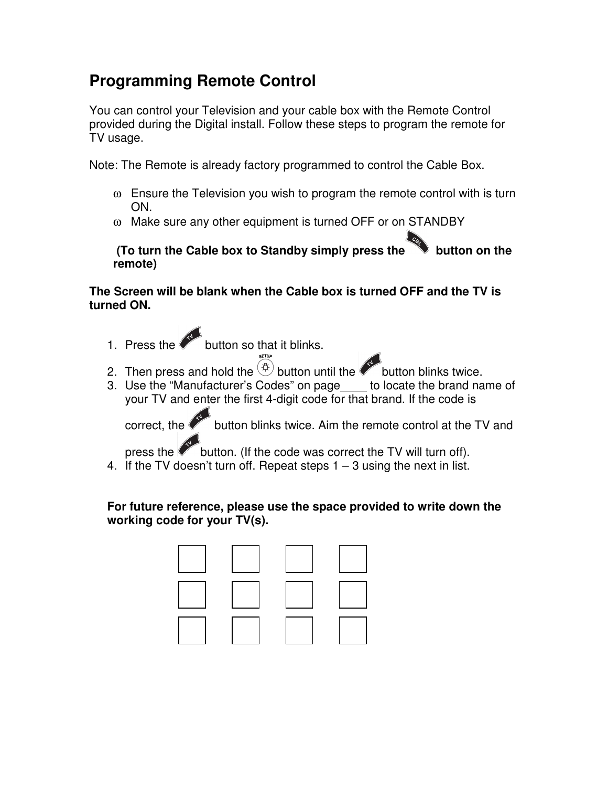## **Programming Remote Control**

You can control your Television and your cable box with the Remote Control provided during the Digital install. Follow these steps to program the remote for TV usage.

Note: The Remote is already factory programmed to control the Cable Box.

- ω Ensure the Television you wish to program the remote control with is turn ON.
- ω Make sure any other equipment is turned OFF or on STANDBY

**(To turn the Cable box to Standby simply press the button on the remote)** 

## **The Screen will be blank when the Cable box is turned OFF and the TV is turned ON.**

- 1. Press the button so that it blinks.
- 2. Then press and hold the  $\overset{(1)}{\circ}$  button until the button blinks twice.
- 3. Use the "Manufacturer's Codes" on page\_\_\_\_ to locate the brand name of your TV and enter the first 4-digit code for that brand. If the code is

correct, the button blinks twice. Aim the remote control at the TV and

press the button. (If the code was correct the TV will turn off).

4. If the TV doesn't turn off. Repeat steps  $1 - 3$  using the next in list.

## **For future reference, please use the space provided to write down the working code for your TV(s).**

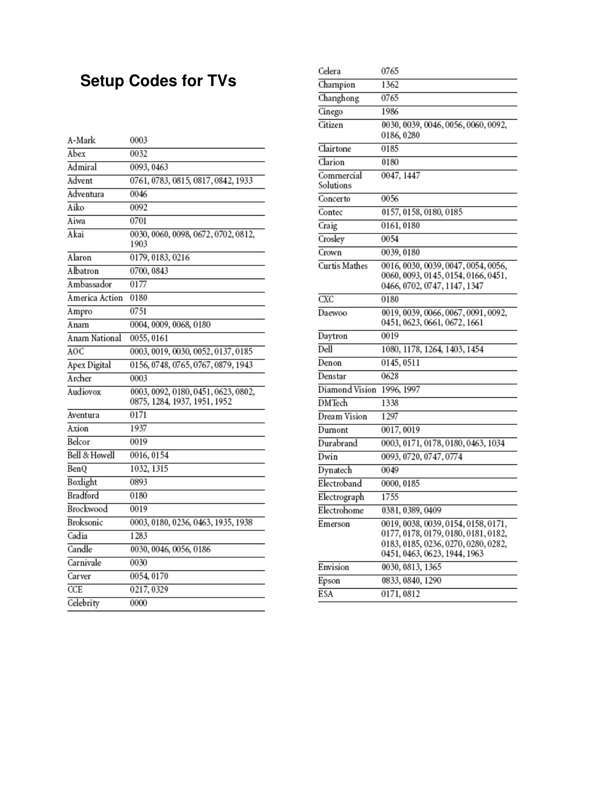## **Setup Codes for TVs**

| A-Mark         | 0003                                                                |
|----------------|---------------------------------------------------------------------|
| Abex           | 0032                                                                |
| Admiral        | 0093, 0463                                                          |
| Advent         | 0761, 0783, 0815, 0817, 0842, 1933                                  |
| Adventura      | 0046                                                                |
| Aiko           | 0092                                                                |
| Aiwa           | 0701                                                                |
| Akai           | 0030, 0060, 0098, 0672, 0702, 0812,<br>1903                         |
| Alaron         | 0179, 0183, 0216                                                    |
| Albatron       | 0700, 0843                                                          |
| Ambassador     | 0177                                                                |
| America Action | 0180                                                                |
| Ampro          | 0751                                                                |
| Anam           | 0004, 0009, 0068, 0180                                              |
| Anam National  | 0055, 0161                                                          |
| AOC            | 0003, 0019, 0030, 0052, 0137, 0185                                  |
| Apex Digital   | 0156, 0748, 0765, 0767, 0879, 1943                                  |
| Archer         | 0003                                                                |
| Audiovox       | 0003, 0092, 0180, 0451, 0623, 0802,<br>0875, 1284, 1937, 1951, 1952 |
| Aventura       | 0171                                                                |
| Axion          | 1937                                                                |
| Belcor         | 0019                                                                |
| Bell & Howell  | 0016, 0154                                                          |
| BenQ           | 1032, 1315                                                          |
| Boxlight       | 0893                                                                |
| Bradford       | 0180                                                                |
| Brockwood      | 0019                                                                |
| Broksonic      | 0003, 0180, 0236, 0463, 1935, 1938                                  |
| Cadia          | 1283                                                                |
| Candle         | 0030, 0046, 0056, 0186                                              |
| Carnivale      | 0030                                                                |
| Carver         | 0054, 0170                                                          |
| CCE            | 0217, 0329                                                          |
| Celebrity      | 0000                                                                |

| Celera                  | 0765                                                                                                                                              |
|-------------------------|---------------------------------------------------------------------------------------------------------------------------------------------------|
| Champion                | 1362                                                                                                                                              |
| Changhong               | 0765                                                                                                                                              |
| Cinego                  | 1986                                                                                                                                              |
| Citizen                 | 0030, 0039, 0046, 0056, 0060, 0092,<br>0186, 0280                                                                                                 |
| Clairtone               | 0185                                                                                                                                              |
| Clarion                 | 0180                                                                                                                                              |
| Commercial<br>Solutions | 0047, 1447                                                                                                                                        |
| Concerto                | 0056                                                                                                                                              |
| Contec                  | 0157, 0158, 0180, 0185                                                                                                                            |
| Craig                   | 0161, 0180                                                                                                                                        |
| Crosley                 | 0054                                                                                                                                              |
| Crown                   | 0039, 0180                                                                                                                                        |
| Curtis Mathes           | 0016, 0030, 0039, 0047, 0054, 0056,<br>0060, 0093, 0145, 0154, 0166, 0451,<br>0466, 0702, 0747, 1147, 1347                                        |
| $\overline{\text{CXC}}$ | 0180                                                                                                                                              |
| Daewoo                  | 0019, 0039, 0066, 0067, 0091, 0092,<br>0451, 0623, 0661, 0672, 1661                                                                               |
| Daytron                 | 0019                                                                                                                                              |
| Dell                    | 1080, 1178, 1264, 1403, 1454                                                                                                                      |
| Denon                   | 0145, 0511                                                                                                                                        |
| Denstar                 | 0628                                                                                                                                              |
| Diamond Vision          | 1996, 1997                                                                                                                                        |
| <b>DMTech</b>           | 1338                                                                                                                                              |
| Dream Vision            | 1297                                                                                                                                              |
| Dumont                  | 0017, 0019                                                                                                                                        |
| Durabrand               | 0003, 0171, 0178, 0180, 0463, 1034                                                                                                                |
| Dwin                    | 0093, 0720, 0747, 0774                                                                                                                            |
| Dynatech                | 0049                                                                                                                                              |
| Electroband             | 0000, 0185                                                                                                                                        |
| Electrograph            | 1755                                                                                                                                              |
| Electrohome             | 0381, 0389, 0409                                                                                                                                  |
| Emerson                 | 0019, 0038, 0039, 0154, 0158, 0171,<br>0177, 0178, 0179, 0180, 0181, 0182,<br>0183, 0185, 0236, 0270, 0280, 0282,<br>0451, 0463, 0623, 1944, 1963 |
| Envision                | 0030, 0813, 1365                                                                                                                                  |
| Epson                   | 0833, 0840, 1290                                                                                                                                  |
| ESA                     | 0171, 0812                                                                                                                                        |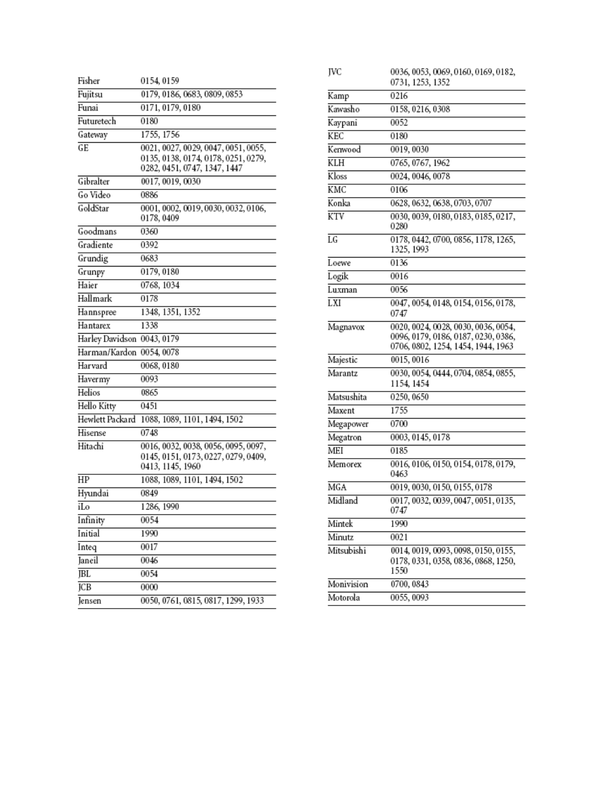| Fisher          | 0154, 0159                                                                                                 |
|-----------------|------------------------------------------------------------------------------------------------------------|
| Fujitsu         | 0179, 0186, 0683, 0809, 0853                                                                               |
| Funai           | 0171, 0179, 0180                                                                                           |
| Futuretech      | 0180                                                                                                       |
| Gateway         | 1755, 1756                                                                                                 |
| GE              | 0021, 0027, 0029, 0047, 0051, 0055,<br>0135, 0138, 0174, 0178, 0251, 0279,<br>0282, 0451, 0747, 1347, 1447 |
| Gibralter       | 0017, 0019, 0030                                                                                           |
| Go Video        | 0886                                                                                                       |
| GoldStar        | 0001, 0002, 0019, 0030, 0032, 0106,<br>0178, 0409                                                          |
| Goodmans        | 0360                                                                                                       |
| Gradiente       | 0392                                                                                                       |
| Grundig         | 0683                                                                                                       |
| Grunpy          | 0179, 0180                                                                                                 |
| Haier           | 0768, 1034                                                                                                 |
| Hallmark        | 0178                                                                                                       |
| Hannspree       | 1348, 1351, 1352                                                                                           |
| Hantarex        | 1338                                                                                                       |
| Harley Davidson | 0043, 0179                                                                                                 |
| Harman/Kardon   | 0054, 0078                                                                                                 |
| Harvard         | 0068, 0180                                                                                                 |
| Havermy         | 0093                                                                                                       |
| Helios          | 0865                                                                                                       |
| Hello Kitty     | 0451                                                                                                       |
| Hewlett Packard | 1088, 1089, 1101, 1494, 1502                                                                               |
| Hisense         | 0748                                                                                                       |
| Hitachi         | 0016, 0032, 0038, 0056, 0095, 0097,<br>0145, 0151, 0173, 0227, 0279, 0409,<br>0413, 1145, 1960             |
| HP              | 1088, 1089, 1101, 1494, 1502                                                                               |
| Hyundai         | 0849                                                                                                       |
| iLo             | 1286, 1990                                                                                                 |
| Infinity        | 0054                                                                                                       |
| Initial         | 1990                                                                                                       |
| Inteq           | 0017                                                                                                       |
| Janeil          | 0046                                                                                                       |
| <b>IBL</b>      | 0054                                                                                                       |
| <b>JCB</b>      | 0000                                                                                                       |
| Jensen          | 0050, 0761, 0815, 0817, 1299, 1933                                                                         |

| JVC        | 0036, 0053, 0069, 0160, 0169, 0182,<br>0731, 1253, 1352                                                          |
|------------|------------------------------------------------------------------------------------------------------------------|
| Kamp       | 0216                                                                                                             |
| Kawasho    | 0158, 0216, 0308                                                                                                 |
| Kaypani    | 0052                                                                                                             |
| KEC        | 0180                                                                                                             |
| Kenwood    | 0019, 0030                                                                                                       |
| KLH        | 0765, 0767, 1962                                                                                                 |
| Kloss      | 0024, 0046, 0078                                                                                                 |
| KMC        | 0106                                                                                                             |
| Konka      | 0628, 0632, 0638, 0703, 0707                                                                                     |
| KTV        | 0030, 0039, 0180, 0183, 0185, 0217,<br>0280                                                                      |
| LG         | 0178, 0442, 0700, 0856, 1178, 1265,<br>1325, 1993                                                                |
| Loewe      | 0136                                                                                                             |
| Logik      | 0016                                                                                                             |
| Luxman     | 0056                                                                                                             |
| LXI        | 0047, 0054, 0148, 0154, 0156, 0178,<br>0747                                                                      |
| Magnavox   | 0020, 0024, 0028, 0030, 0036, 0054,<br>0096, 0179, 0186, 0187, 0230, 0386,<br>0706, 0802, 1254, 1454, 1944, 1963 |
| Majestic   | 0015,0016                                                                                                        |
| Marantz    | 0030, 0054, 0444, 0704, 0854, 0855,<br>1154, 1454                                                                |
| Matsushita | 0250, 0650                                                                                                       |
| Maxent     | 1755                                                                                                             |
| Megapower  | 0700                                                                                                             |
| Megatron   | 0003, 0145, 0178                                                                                                 |
| MEI        | 0185                                                                                                             |
| Memorex    | 0016, 0106, 0150, 0154, 0178, 0179,<br>0463                                                                      |
| MGA        | 0019, 0030, 0150, 0155, 0178                                                                                     |
| Midland    | 0017, 0032, 0039, 0047, 0051, 0135,<br>0747                                                                      |
| Mintek     | 1990                                                                                                             |
| Minutz     | 0021                                                                                                             |
| Mitsubishi | 0014, 0019, 0093, 0098, 0150, 0155,<br>0178, 0331, 0358, 0836, 0868, 1250,<br>1550                               |
| Monivision | 0700, 0843                                                                                                       |
| Motorola   | 0055, 0093                                                                                                       |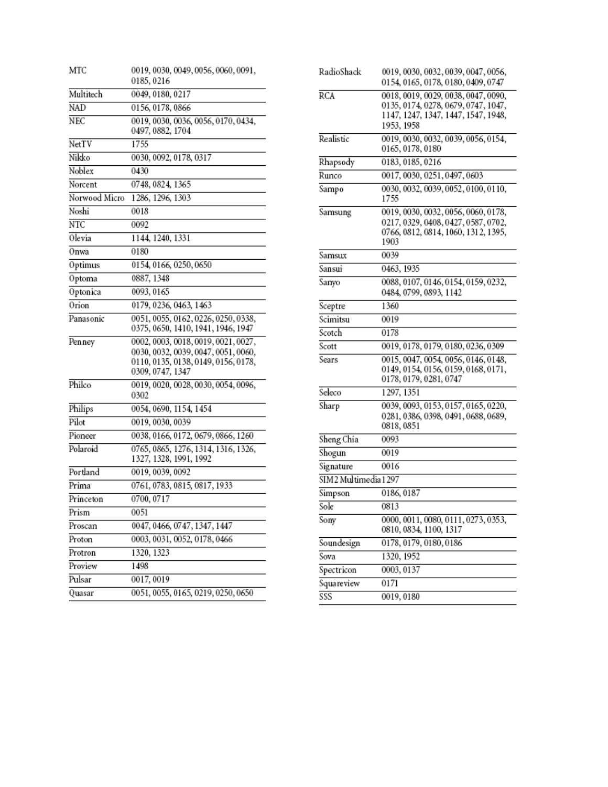| MTC           | 0019, 0030, 0049, 0056, 0060, 0091,<br>0185, 0216                                                                                     |
|---------------|---------------------------------------------------------------------------------------------------------------------------------------|
| Multitech     | 0049, 0180, 0217                                                                                                                      |
| <b>NAD</b>    | 0156, 0178, 0866                                                                                                                      |
| NEC           | 0019, 0030, 0036, 0056, 0170, 0434,<br>0497, 0882, 1704                                                                               |
| NetTV         | 1755                                                                                                                                  |
| Nikko         | 0030, 0092, 0178, 0317                                                                                                                |
| Noblex        | 0430                                                                                                                                  |
| Norcent       | 0748, 0824, 1365                                                                                                                      |
| Norwood Micro | 1286, 1296, 1303                                                                                                                      |
| Noshi         | 0018                                                                                                                                  |
| NTC           | 0092                                                                                                                                  |
| Olevia        | 1144, 1240, 1331                                                                                                                      |
| Onwa          | 0180                                                                                                                                  |
| Optimus       | 0154, 0166, 0250, 0650                                                                                                                |
| Optoma        | 0887, 1348                                                                                                                            |
| Optonica      | 0093, 0165                                                                                                                            |
| Orion         | 0179, 0236, 0463, 1463                                                                                                                |
| Panasonic     | 0051, 0055, 0162, 0226, 0250, 0338,<br>0375, 0650, 1410, 1941, 1946, 1947                                                             |
| Penney        | 0002, 0003, 0018, 0019, 0021, 0027,<br>0030, 0032, 0039, 0047, 0051, 0060,<br>0110, 0135, 0138, 0149, 0156, 0178,<br>0309, 0747, 1347 |
| Philco        | 0019, 0020, 0028, 0030, 0054, 0096,<br>0302                                                                                           |
| Philips       | 0054, 0690, 1154, 1454                                                                                                                |
| Pilot         | 0019, 0030, 0039                                                                                                                      |
| Pioneer       | 0038, 0166, 0172, 0679, 0866, 1260                                                                                                    |
| Polaroid      | 0765, 0865, 1276, 1314, 1316, 1326,<br>1327, 1328, 1991, 1992                                                                         |
| Portland      | 0019, 0039, 0092                                                                                                                      |
| Prima         | 0761, 0783, 0815, 0817, 1933                                                                                                          |
| Princeton     | 0700, 0717                                                                                                                            |
| Prism         | 0051                                                                                                                                  |
| Proscan       | 0047, 0466, 0747, 1347, 1447                                                                                                          |
| Proton        | 0003, 0031, 0052, 0178, 0466                                                                                                          |
| Protron       | 1320, 1323                                                                                                                            |
| Proview       | 1498                                                                                                                                  |
| Pulsar        | 0017,0019                                                                                                                             |
| Quasar        | 0051, 0055, 0165, 0219, 0250, 0650                                                                                                    |

| RadioShack           | 0019, 0030, 0032, 0039, 0047, 0056,<br>0154, 0165, 0178, 0180, 0409, 0747                                                       |
|----------------------|---------------------------------------------------------------------------------------------------------------------------------|
| RCA                  | 0018, 0019, 0029, 0038, 0047, 0090,<br>0135, 0174, 0278, 0679, 0747, 1047,<br>1147, 1247, 1347, 1447, 1547, 1948,<br>1953, 1958 |
| Realistic            | 0019, 0030, 0032, 0039, 0056, 0154,<br>0165, 0178, 0180                                                                         |
| Rhapsody             | 0183, 0185, 0216                                                                                                                |
| Runco                | 0017, 0030, 0251, 0497, 0603                                                                                                    |
| Sampo                | 0030, 0032, 0039, 0052, 0100, 0110,<br>1755                                                                                     |
| Samsung              | 0019, 0030, 0032, 0056, 0060, 0178,<br>0217, 0329, 0408, 0427, 0587, 0702,<br>0766, 0812, 0814, 1060, 1312, 1395,<br>1903       |
| Samsux               | 0039                                                                                                                            |
| Sansui               | 0463, 1935                                                                                                                      |
| Sanyo                | 0088, 0107, 0146, 0154, 0159, 0232,<br>0484, 0799, 0893, 1142                                                                   |
| Sceptre              | 1360                                                                                                                            |
| Scimitsu             | 0019                                                                                                                            |
| Scotch               | 0178                                                                                                                            |
| Scott                | 0019, 0178, 0179, 0180, 0236, 0309                                                                                              |
| Sears                | 0015, 0047, 0054, 0056, 0146, 0148,<br>0149, 0154, 0156, 0159, 0168, 0171,<br>0178, 0179, 0281, 0747                            |
| Seleco               | 1297, 1351                                                                                                                      |
| Sharp                | 0039, 0093, 0153, 0157, 0165, 0220,<br>0281, 0386, 0398, 0491, 0688, 0689,<br>0818, 0851                                        |
| Sheng Chia           | 0093                                                                                                                            |
| Shogun               | 0019                                                                                                                            |
| Signature            | 0016                                                                                                                            |
| SIM2 Multimedia 1297 |                                                                                                                                 |
| Simpson              | 0186, 0187                                                                                                                      |
| Sole                 | 0813                                                                                                                            |
| Sony                 | 0000, 0011, 0080, 0111, 0273, 0353,<br>0810, 0834, 1100, 1317                                                                   |
| Soundesign           | 0178, 0179, 0180, 0186                                                                                                          |
| Sova                 | 1320, 1952                                                                                                                      |
| Spectricon           | 0003, 0137                                                                                                                      |
| Squareview           | 0171                                                                                                                            |
| sss                  | 0019, 0180                                                                                                                      |